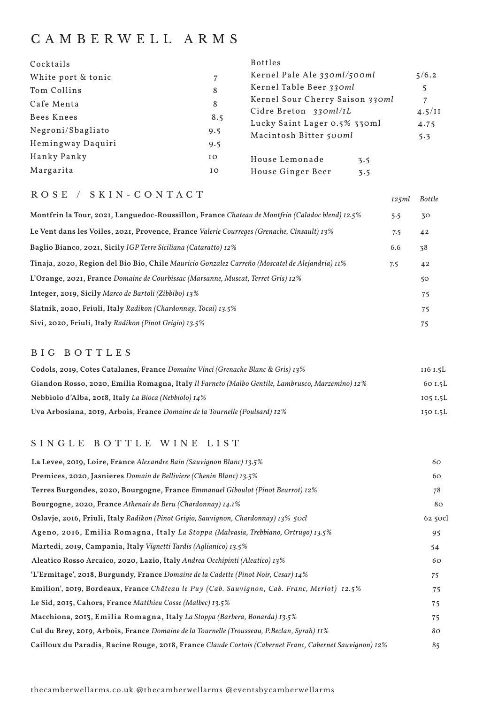# CAMBERWELL ARMS

| Cocktails          |                | <b>Bottles</b>                                         |     |        |
|--------------------|----------------|--------------------------------------------------------|-----|--------|
| White port & tonic | $\overline{7}$ | Kernel Pale Ale 330ml/500ml                            |     | 5/6.2  |
| Tom Collins        | 8              | Kernel Table Beer 330ml                                |     | 5      |
| Cafe Menta         | 8              | Kernel Sour Cherry Saison 330ml                        |     | 7      |
| Bees Knees         | 8.5            | Cidre Breton 330ml/IL                                  |     | 4.5/II |
| Negroni/Sbagliato  | 9.5            | Lucky Saint Lager 0.5% 330ml<br>Macintosh Bitter 500ml |     | 4.75   |
| Hemingway Daquiri  | 9.5            |                                                        |     | 5.3    |
| Hanky Panky        | 10             | House Lemonade                                         | 3.5 |        |
| Margarita          | 10             | House Ginger Beer                                      | 3.5 |        |
|                    |                |                                                        |     |        |

### ROSE / SKIN-CONTACT *125ml Bottle*

| Montfrin la Tour, 2021, Languedoc-Roussillon, France Chateau de Montfrin (Caladoc blend) 12.5% | 5.5 | 30 |
|------------------------------------------------------------------------------------------------|-----|----|
| Le Vent dans les Voiles, 2021, Provence, France Valerie Courreges (Grenache, Cinsault) 13%     | 7.5 | 42 |
| Baglio Bianco, 2021, Sicily IGP Terre Siciliana (Cataratto) 12%                                | 6.6 | 38 |
| Tinaja, 2020, Region del Bio Bio, Chile Mauricio Gonzalez Carreño (Moscatel de Alejandria) 11% | 7.5 | 42 |
| L'Orange, 2021, France Domaine de Courbissac (Marsanne, Muscat, Terret Gris) 12%               |     | 50 |
| Integer, 2019, Sicily Marco de Bartoli (Zibbibo) 13%                                           |     | 75 |
| Slatnik, 2020, Friuli, Italy Radikon (Chardonnay, Tocai) 13.5%                                 |     | 75 |
| Sivi, 2020, Friuli, Italy Radikon (Pinot Grigio) 13.5%                                         |     | 75 |

### BIG BOTTLES

| Codols, 2019, Cotes Catalanes, France Domaine Vinci (Grenache Blanc & Gris) 13%                 | 116 1.5L |
|-------------------------------------------------------------------------------------------------|----------|
| Giandon Rosso, 2020, Emilia Romagna, Italy Il Farneto (Malbo Gentile, Lambrusco, Marzemino) 12% | 601.5L   |
| Nebbiolo d'Alba, 2018, Italy La Bioca (Nebbiolo) 14%                                            | 105 1.5L |
| Uva Arbosiana, 2019, Arbois, France Domaine de la Tournelle (Poulsard) 12%                      | 150 1.5L |

#### SINGLE BOTTLE WINE LIST

| La Levee, 2019, Loire, France Alexandre Bain (Sauvignon Blanc) 13.5%                                    | 60      |
|---------------------------------------------------------------------------------------------------------|---------|
| Premices, 2020, Jasnieres Domain de Belliviere (Chenin Blanc) 13.5%                                     | 60      |
| Terres Burgondes, 2020, Bourgogne, France Emmanuel Giboulot (Pinot Beurrot) 12%                         | 78      |
| Bourgogne, 2020, France Athenais de Beru (Chardonnay) 14.1%                                             | 80      |
| Oslavje, 2016, Friuli, Italy Radikon (Pinot Grigio, Sauvignon, Chardonnay) 13% 50cl                     | 62 50cl |
| Ageno, 2016, Emilia Romagna, Italy La Stoppa (Malvasia, Trebbiano, Ortrugo) 13.5%                       | 95      |
| Martedi, 2019, Campania, Italy Vignetti Tardis (Aglianico) 13.5%                                        | 54      |
| Aleatico Rosso Arcaico, 2020, Lazio, Italy Andrea Occhipinti (Aleatico) 13%                             | 60      |
| 'L'Ermitage', 2018, Burgundy, France Domaine de la Cadette (Pinot Noir, Cesar) 14%                      | 75      |
| Emilion', 2019, Bordeaux, France Château le Puy (Cab. Sauvignon, Cab. Franc, Merlot) 12.5%              | 75      |
| Le Sid, 2015, Cahors, France Matthieu Cosse (Malbec) 13.5%                                              | 75      |
| Macchiona, 2013, Emilia Romagna, Italy <i>La Stoppa (Barbera, Bonarda) 13.5</i> %                       | 75      |
| Cul du Brey, 2019, Arbois, France Domaine de la Tournelle (Trousseau, P.Beclan, Syrah) 11%              | 80      |
| Cailloux du Paradis, Racine Rouge, 2018, France Claude Cortois (Cabernet Franc, Cabernet Sauvignon) 12% | 85      |
|                                                                                                         |         |